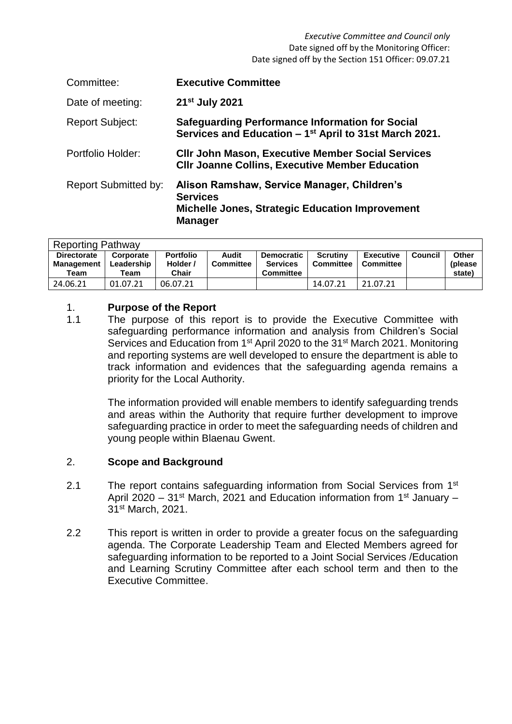| Committee:                  | <b>Executive Committee</b>                                                                                                                 |
|-----------------------------|--------------------------------------------------------------------------------------------------------------------------------------------|
| Date of meeting:            | 21 <sup>st</sup> July 2021                                                                                                                 |
| <b>Report Subject:</b>      | <b>Safeguarding Performance Information for Social</b><br>Services and Education – 1 <sup>st</sup> April to 31st March 2021.               |
| Portfolio Holder:           | <b>CIIr John Mason, Executive Member Social Services</b><br><b>CIIr Joanne Collins, Executive Member Education</b>                         |
| <b>Report Submitted by:</b> | Alison Ramshaw, Service Manager, Children's<br><b>Services</b><br><b>Michelle Jones, Strategic Education Improvement</b><br><b>Manager</b> |

| <b>Reporting Pathway</b> |            |                  |                  |                   |                  |                  |         |              |  |  |
|--------------------------|------------|------------------|------------------|-------------------|------------------|------------------|---------|--------------|--|--|
| <b>Directorate</b>       | Corporate  | <b>Portfolio</b> | Audit            | <b>Democratic</b> | <b>Scrutiny</b>  | <b>Executive</b> | Council | <b>Other</b> |  |  |
| Management               | Leadership | Holder /         | <b>Committee</b> | <b>Services</b>   | <b>Committee</b> | <b>Committee</b> |         | (please)     |  |  |
| Team                     | Team       | Chair            |                  | <b>Committee</b>  |                  |                  |         | state)       |  |  |
| 24.06.21                 | 01.07.21   | 06.07.21         |                  |                   | 14.07.21         | 21.07.21         |         |              |  |  |

## 1. **Purpose of the Report**

1.1 The purpose of this report is to provide the Executive Committee with safeguarding performance information and analysis from Children's Social Services and Education from 1<sup>st</sup> April 2020 to the 31<sup>st</sup> March 2021. Monitoring and reporting systems are well developed to ensure the department is able to track information and evidences that the safeguarding agenda remains a priority for the Local Authority.

> The information provided will enable members to identify safeguarding trends and areas within the Authority that require further development to improve safeguarding practice in order to meet the safeguarding needs of children and young people within Blaenau Gwent.

# 2. **Scope and Background**

- 2.1 The report contains safeguarding information from Social Services from 1<sup>st</sup> April 2020 – 31<sup>st</sup> March, 2021 and Education information from 1<sup>st</sup> January – 31st March, 2021.
- 2.2 This report is written in order to provide a greater focus on the safeguarding agenda. The Corporate Leadership Team and Elected Members agreed for safeguarding information to be reported to a Joint Social Services /Education and Learning Scrutiny Committee after each school term and then to the Executive Committee.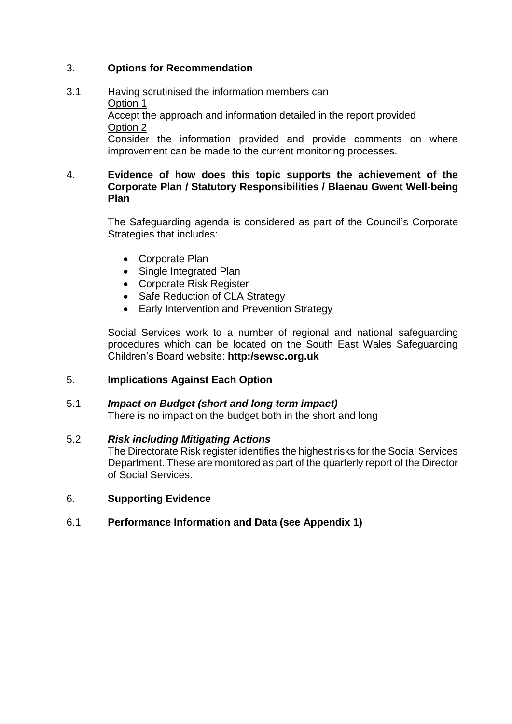## 3. **Options for Recommendation**

### 3.1 Having scrutinised the information members can Option 1 Accept the approach and information detailed in the report provided Option 2 Consider the information provided and provide comments on where improvement can be made to the current monitoring processes.

### 4. **Evidence of how does this topic supports the achievement of the Corporate Plan / Statutory Responsibilities / Blaenau Gwent Well-being Plan**

The Safeguarding agenda is considered as part of the Council's Corporate Strategies that includes:

- Corporate Plan
- Single Integrated Plan
- Corporate Risk Register
- Safe Reduction of CLA Strategy
- Early Intervention and Prevention Strategy

Social Services work to a number of regional and national safeguarding procedures which can be located on the South East Wales Safeguarding Children's Board website: **http:/sewsc.org.uk**

### 5. **Implications Against Each Option**

#### 5.1 *Impact on Budget (short and long term impact)*

There is no impact on the budget both in the short and long

#### 5.2 *Risk including Mitigating Actions*

The Directorate Risk register identifies the highest risks for the Social Services Department. These are monitored as part of the quarterly report of the Director of Social Services.

#### 6. **Supporting Evidence**

#### 6.1 **Performance Information and Data (see Appendix 1)**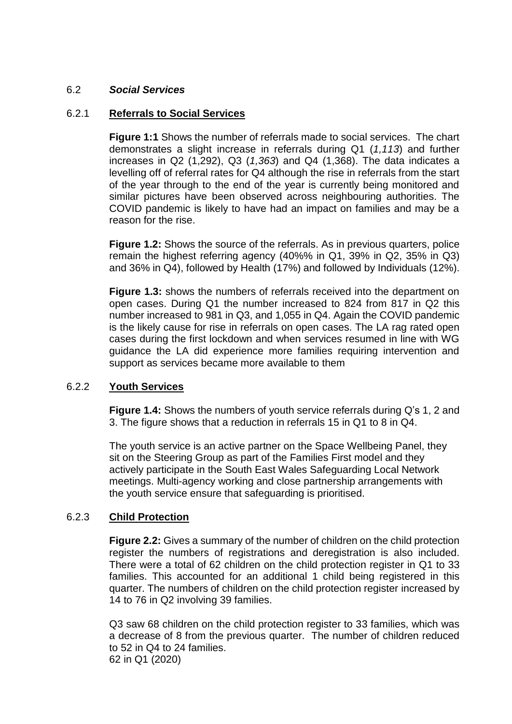#### 6.2 *Social Services*

#### 6.2.1 **Referrals to Social Services**

**Figure 1:1** Shows the number of referrals made to social services. The chart demonstrates a slight increase in referrals during Q1 (*1,113*) and further increases in Q2 (1,292), Q3 (*1,363*) and Q4 (1,368). The data indicates a levelling off of referral rates for Q4 although the rise in referrals from the start of the year through to the end of the year is currently being monitored and similar pictures have been observed across neighbouring authorities. The COVID pandemic is likely to have had an impact on families and may be a reason for the rise.

**Figure 1.2:** Shows the source of the referrals. As in previous quarters, police remain the highest referring agency (40%% in Q1, 39% in Q2, 35% in Q3) and 36% in Q4), followed by Health (17%) and followed by Individuals (12%).

**Figure 1.3:** shows the numbers of referrals received into the department on open cases. During Q1 the number increased to 824 from 817 in Q2 this number increased to 981 in Q3, and 1,055 in Q4. Again the COVID pandemic is the likely cause for rise in referrals on open cases. The LA rag rated open cases during the first lockdown and when services resumed in line with WG guidance the LA did experience more families requiring intervention and support as services became more available to them

#### 6.2.2 **Youth Services**

**Figure 1.4:** Shows the numbers of youth service referrals during Q's 1, 2 and 3. The figure shows that a reduction in referrals 15 in Q1 to 8 in Q4.

The youth service is an active partner on the Space Wellbeing Panel, they sit on the Steering Group as part of the Families First model and they actively participate in the South East Wales Safeguarding Local Network meetings. Multi-agency working and close partnership arrangements with the youth service ensure that safeguarding is prioritised.

#### 6.2.3 **Child Protection**

**Figure 2.2:** Gives a summary of the number of children on the child protection register the numbers of registrations and deregistration is also included. There were a total of 62 children on the child protection register in Q1 to 33 families. This accounted for an additional 1 child being registered in this quarter. The numbers of children on the child protection register increased by 14 to 76 in Q2 involving 39 families.

Q3 saw 68 children on the child protection register to 33 families, which was a decrease of 8 from the previous quarter. The number of children reduced to 52 in Q4 to 24 families. 62 in Q1 (2020)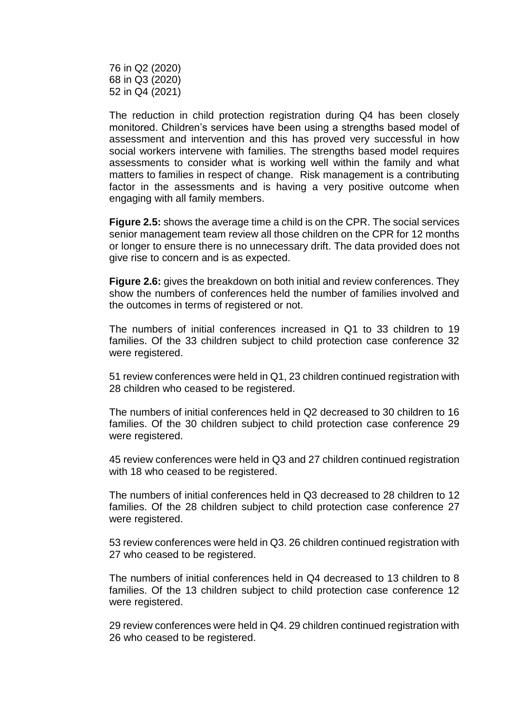76 in Q2 (2020) 68 in Q3 (2020) 52 in Q4 (2021)

The reduction in child protection registration during Q4 has been closely monitored. Children's services have been using a strengths based model of assessment and intervention and this has proved very successful in how social workers intervene with families. The strengths based model requires assessments to consider what is working well within the family and what matters to families in respect of change. Risk management is a contributing factor in the assessments and is having a very positive outcome when engaging with all family members.

**Figure 2.5:** shows the average time a child is on the CPR. The social services senior management team review all those children on the CPR for 12 months or longer to ensure there is no unnecessary drift. The data provided does not give rise to concern and is as expected.

**Figure 2.6:** gives the breakdown on both initial and review conferences. They show the numbers of conferences held the number of families involved and the outcomes in terms of registered or not.

The numbers of initial conferences increased in Q1 to 33 children to 19 families. Of the 33 children subject to child protection case conference 32 were registered.

51 review conferences were held in Q1, 23 children continued registration with 28 children who ceased to be registered.

The numbers of initial conferences held in Q2 decreased to 30 children to 16 families. Of the 30 children subject to child protection case conference 29 were registered.

45 review conferences were held in Q3 and 27 children continued registration with 18 who ceased to be registered.

The numbers of initial conferences held in Q3 decreased to 28 children to 12 families. Of the 28 children subject to child protection case conference 27 were registered.

53 review conferences were held in Q3. 26 children continued registration with 27 who ceased to be registered.

The numbers of initial conferences held in Q4 decreased to 13 children to 8 families. Of the 13 children subject to child protection case conference 12 were registered.

29 review conferences were held in Q4. 29 children continued registration with 26 who ceased to be registered.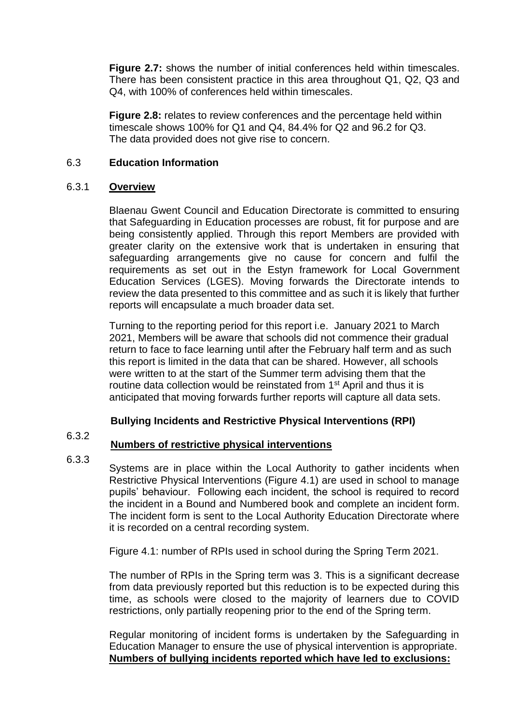**Figure 2.7:** shows the number of initial conferences held within timescales. There has been consistent practice in this area throughout Q1, Q2, Q3 and Q4, with 100% of conferences held within timescales.

**Figure 2.8:** relates to review conferences and the percentage held within timescale shows 100% for Q1 and Q4, 84.4% for Q2 and 96.2 for Q3. The data provided does not give rise to concern.

#### 6.3 **Education Information**

#### 6.3.1 **Overview**

Blaenau Gwent Council and Education Directorate is committed to ensuring that Safeguarding in Education processes are robust, fit for purpose and are being consistently applied. Through this report Members are provided with greater clarity on the extensive work that is undertaken in ensuring that safeguarding arrangements give no cause for concern and fulfil the requirements as set out in the Estyn framework for Local Government Education Services (LGES). Moving forwards the Directorate intends to review the data presented to this committee and as such it is likely that further reports will encapsulate a much broader data set.

Turning to the reporting period for this report i.e. January 2021 to March 2021, Members will be aware that schools did not commence their gradual return to face to face learning until after the February half term and as such this report is limited in the data that can be shared. However, all schools were written to at the start of the Summer term advising them that the routine data collection would be reinstated from 1<sup>st</sup> April and thus it is anticipated that moving forwards further reports will capture all data sets.

# **Bullying Incidents and Restrictive Physical Interventions (RPI)**

### 6.3.2

# **Numbers of restrictive physical interventions**

### 6.3.3

Systems are in place within the Local Authority to gather incidents when Restrictive Physical Interventions (Figure 4.1) are used in school to manage pupils' behaviour. Following each incident, the school is required to record the incident in a Bound and Numbered book and complete an incident form. The incident form is sent to the Local Authority Education Directorate where it is recorded on a central recording system.

Figure 4.1: number of RPIs used in school during the Spring Term 2021.

The number of RPIs in the Spring term was 3. This is a significant decrease from data previously reported but this reduction is to be expected during this time, as schools were closed to the majority of learners due to COVID restrictions, only partially reopening prior to the end of the Spring term.

Regular monitoring of incident forms is undertaken by the Safeguarding in Education Manager to ensure the use of physical intervention is appropriate. **Numbers of bullying incidents reported which have led to exclusions:**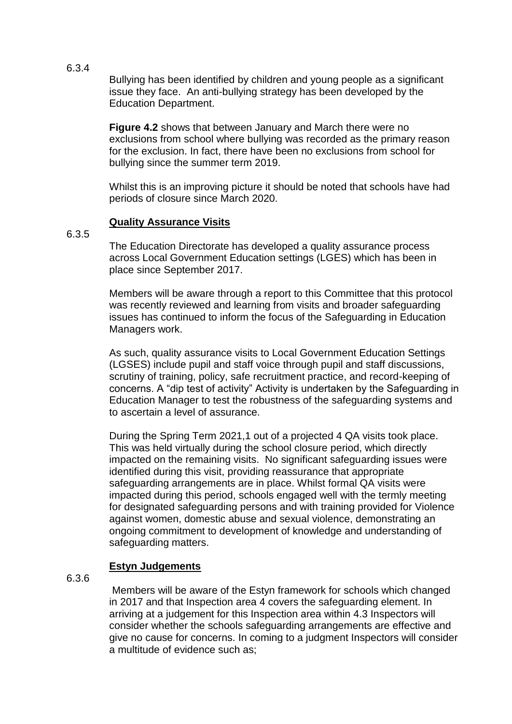Bullying has been identified by children and young people as a significant issue they face. An anti-bullying strategy has been developed by the Education Department.

**Figure 4.2** shows that between January and March there were no exclusions from school where bullying was recorded as the primary reason for the exclusion. In fact, there have been no exclusions from school for bullying since the summer term 2019.

Whilst this is an improving picture it should be noted that schools have had periods of closure since March 2020.

### **Quality Assurance Visits**

6.3.5

The Education Directorate has developed a quality assurance process across Local Government Education settings (LGES) which has been in place since September 2017.

Members will be aware through a report to this Committee that this protocol was recently reviewed and learning from visits and broader safeguarding issues has continued to inform the focus of the Safeguarding in Education Managers work.

As such, quality assurance visits to Local Government Education Settings (LGSES) include pupil and staff voice through pupil and staff discussions, scrutiny of training, policy, safe recruitment practice, and record-keeping of concerns. A "dip test of activity" Activity is undertaken by the Safeguarding in Education Manager to test the robustness of the safeguarding systems and to ascertain a level of assurance.

During the Spring Term 2021,1 out of a projected 4 QA visits took place. This was held virtually during the school closure period, which directly impacted on the remaining visits. No significant safeguarding issues were identified during this visit, providing reassurance that appropriate safeguarding arrangements are in place. Whilst formal QA visits were impacted during this period, schools engaged well with the termly meeting for designated safeguarding persons and with training provided for Violence against women, domestic abuse and sexual violence, demonstrating an ongoing commitment to development of knowledge and understanding of safeguarding matters.

### **Estyn Judgements**

6.3.6

Members will be aware of the Estyn framework for schools which changed in 2017 and that Inspection area 4 covers the safeguarding element. In arriving at a judgement for this Inspection area within 4.3 Inspectors will consider whether the schools safeguarding arrangements are effective and give no cause for concerns. In coming to a judgment Inspectors will consider a multitude of evidence such as;

6.3.4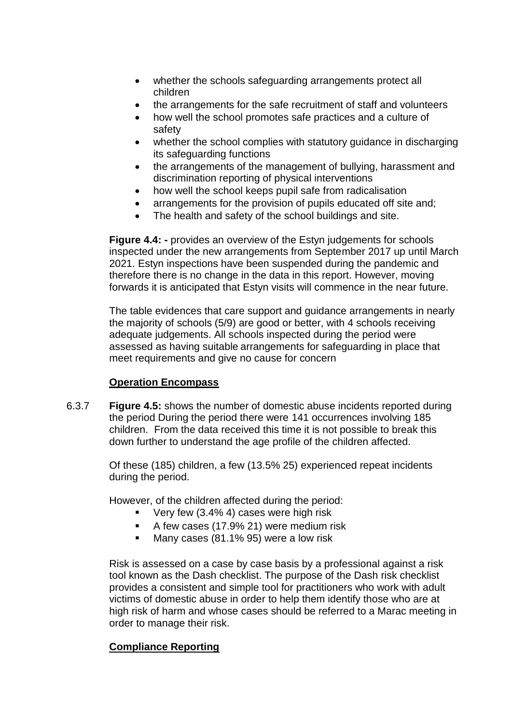- whether the schools safeguarding arrangements protect all children
- the arrangements for the safe recruitment of staff and volunteers
- how well the school promotes safe practices and a culture of safety
- whether the school complies with statutory guidance in discharging its safeguarding functions
- the arrangements of the management of bullying, harassment and discrimination reporting of physical interventions
- how well the school keeps pupil safe from radicalisation
- arrangements for the provision of pupils educated off site and;
- The health and safety of the school buildings and site.

**Figure 4.4: -** provides an overview of the Estyn judgements for schools inspected under the new arrangements from September 2017 up until March 2021. Estyn inspections have been suspended during the pandemic and therefore there is no change in the data in this report. However, moving forwards it is anticipated that Estyn visits will commence in the near future.

The table evidences that care support and guidance arrangements in nearly the majority of schools (5/9) are good or better, with 4 schools receiving adequate judgements. All schools inspected during the period were assessed as having suitable arrangements for safeguarding in place that meet requirements and give no cause for concern

# **Operation Encompass**

6.3.7 **Figure 4.5:** shows the number of domestic abuse incidents reported during the period During the period there were 141 occurrences involving 185 children. From the data received this time it is not possible to break this down further to understand the age profile of the children affected.

> Of these (185) children, a few (13.5% 25) experienced repeat incidents during the period.

However, of the children affected during the period:

- Very few (3.4% 4) cases were high risk
- A few cases (17.9% 21) were medium risk
- **Many cases (81.1% 95) were a low risk**

Risk is assessed on a case by case basis by a professional against a risk tool known as the Dash checklist. The purpose of the Dash risk checklist provides a consistent and simple tool for practitioners who work with adult victims of domestic abuse in order to help them identify those who are at high risk of harm and whose cases should be referred to a Marac meeting in order to manage their risk.

# **Compliance Reporting**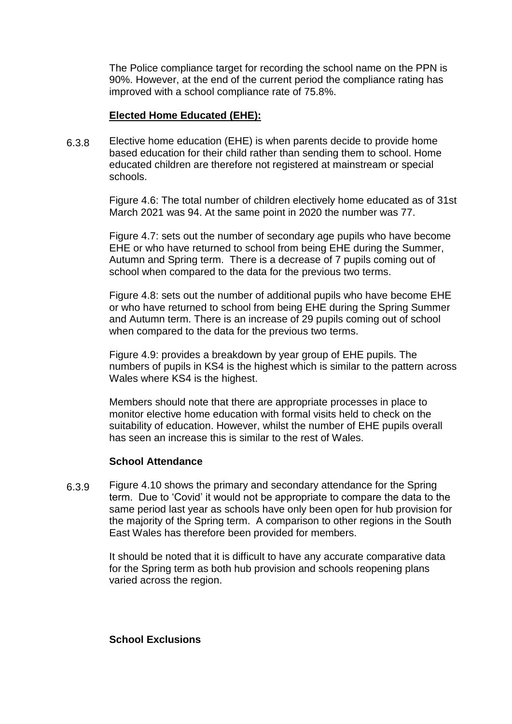The Police compliance target for recording the school name on the PPN is 90%. However, at the end of the current period the compliance rating has improved with a school compliance rate of 75.8%.

### **Elected Home Educated (EHE):**

6.3.8 Elective home education (EHE) is when parents decide to provide home based education for their child rather than sending them to school. Home educated children are therefore not registered at mainstream or special schools.

> Figure 4.6: The total number of children electively home educated as of 31st March 2021 was 94. At the same point in 2020 the number was 77.

Figure 4.7: sets out the number of secondary age pupils who have become EHE or who have returned to school from being EHE during the Summer, Autumn and Spring term. There is a decrease of 7 pupils coming out of school when compared to the data for the previous two terms.

Figure 4.8: sets out the number of additional pupils who have become EHE or who have returned to school from being EHE during the Spring Summer and Autumn term. There is an increase of 29 pupils coming out of school when compared to the data for the previous two terms.

Figure 4.9: provides a breakdown by year group of EHE pupils. The numbers of pupils in KS4 is the highest which is similar to the pattern across Wales where KS4 is the highest.

Members should note that there are appropriate processes in place to monitor elective home education with formal visits held to check on the suitability of education. However, whilst the number of EHE pupils overall has seen an increase this is similar to the rest of Wales.

### **School Attendance**

6.3.9 Figure 4.10 shows the primary and secondary attendance for the Spring term. Due to 'Covid' it would not be appropriate to compare the data to the same period last year as schools have only been open for hub provision for the majority of the Spring term. A comparison to other regions in the South East Wales has therefore been provided for members.

> It should be noted that it is difficult to have any accurate comparative data for the Spring term as both hub provision and schools reopening plans varied across the region.

**School Exclusions**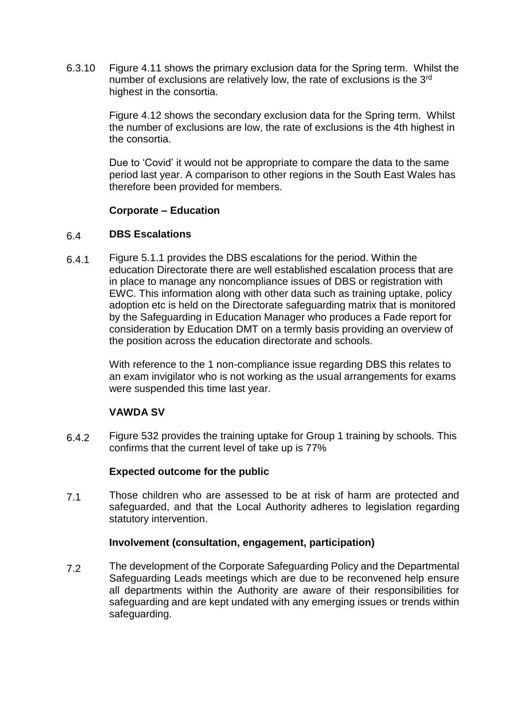6.3.10 Figure 4.11 shows the primary exclusion data for the Spring term. Whilst the number of exclusions are relatively low, the rate of exclusions is the 3<sup>rd</sup> highest in the consortia.

> Figure 4.12 shows the secondary exclusion data for the Spring term. Whilst the number of exclusions are low, the rate of exclusions is the 4th highest in the consortia.

> Due to 'Covid' it would not be appropriate to compare the data to the same period last year. A comparison to other regions in the South East Wales has therefore been provided for members.

### **Corporate – Education**

#### 6.4 **DBS Escalations**

6.4.1 Figure 5.1.1 provides the DBS escalations for the period. Within the education Directorate there are well established escalation process that are in place to manage any noncompliance issues of DBS or registration with EWC. This information along with other data such as training uptake, policy adoption etc is held on the Directorate safeguarding matrix that is monitored by the Safeguarding in Education Manager who produces a Fade report for consideration by Education DMT on a termly basis providing an overview of the position across the education directorate and schools.

> With reference to the 1 non-compliance issue regarding DBS this relates to an exam invigilator who is not working as the usual arrangements for exams were suspended this time last year.

### **VAWDA SV**

6.4.2 Figure 532 provides the training uptake for Group 1 training by schools. This confirms that the current level of take up is 77%

### **Expected outcome for the public**

7.1 Those children who are assessed to be at risk of harm are protected and safeguarded, and that the Local Authority adheres to legislation regarding statutory intervention.

#### **Involvement (consultation, engagement, participation)**

7.2 The development of the Corporate Safeguarding Policy and the Departmental Safeguarding Leads meetings which are due to be reconvened help ensure all departments within the Authority are aware of their responsibilities for safeguarding and are kept undated with any emerging issues or trends within safeguarding.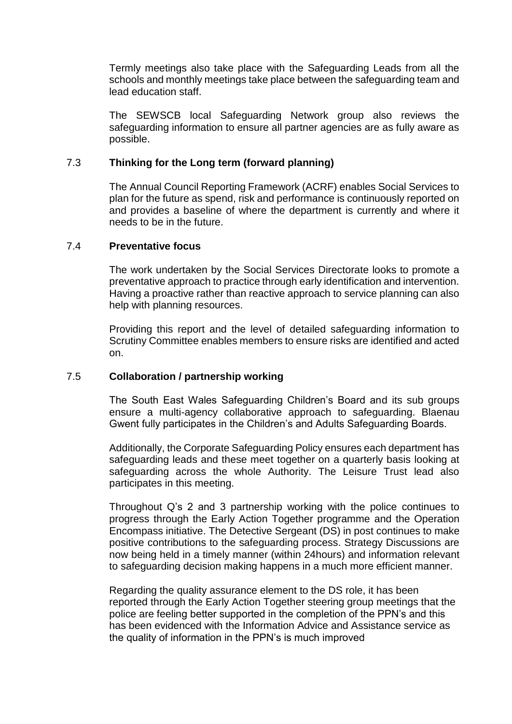Termly meetings also take place with the Safeguarding Leads from all the schools and monthly meetings take place between the safeguarding team and lead education staff.

The SEWSCB local Safeguarding Network group also reviews the safeguarding information to ensure all partner agencies are as fully aware as possible.

#### 7.3 **Thinking for the Long term (forward planning)**

The Annual Council Reporting Framework (ACRF) enables Social Services to plan for the future as spend, risk and performance is continuously reported on and provides a baseline of where the department is currently and where it needs to be in the future.

#### 7.4 **Preventative focus**

The work undertaken by the Social Services Directorate looks to promote a preventative approach to practice through early identification and intervention. Having a proactive rather than reactive approach to service planning can also help with planning resources.

Providing this report and the level of detailed safeguarding information to Scrutiny Committee enables members to ensure risks are identified and acted on.

#### 7.5 **Collaboration / partnership working**

The South East Wales Safeguarding Children's Board and its sub groups ensure a multi-agency collaborative approach to safeguarding. Blaenau Gwent fully participates in the Children's and Adults Safeguarding Boards.

Additionally, the Corporate Safeguarding Policy ensures each department has safeguarding leads and these meet together on a quarterly basis looking at safeguarding across the whole Authority. The Leisure Trust lead also participates in this meeting.

Throughout Q's 2 and 3 partnership working with the police continues to progress through the Early Action Together programme and the Operation Encompass initiative. The Detective Sergeant (DS) in post continues to make positive contributions to the safeguarding process. Strategy Discussions are now being held in a timely manner (within 24hours) and information relevant to safeguarding decision making happens in a much more efficient manner.

Regarding the quality assurance element to the DS role, it has been reported through the Early Action Together steering group meetings that the police are feeling better supported in the completion of the PPN's and this has been evidenced with the Information Advice and Assistance service as the quality of information in the PPN's is much improved